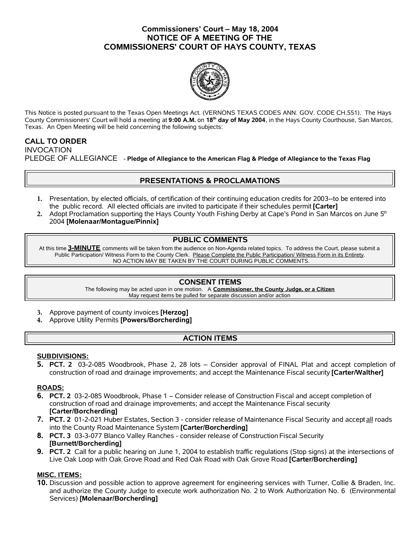# **Commissioners' Court – May 18, 2004 NOTICE OF A MEETING OF THE COMMISSIONERS' COURT OF HAYS COUNTY, TEXAS**



This Notice is posted pursuant to the Texas Open Meetings Act. (VERNONS TEXAS CODES ANN. GOV. CODE CH.551). The Hays County Commissioners' Court will hold a meeting at **9:00 A.M.** on **18th day of May 2004**, in the Hays County Courthouse, San Marcos, Texas. An Open Meeting will be held concerning the following subjects:

## **CALL TO ORDER**

INVOCATION PLEDGE OF ALLEGIANCE - **Pledge of Allegiance to the American Flag & Pledge of Allegiance to the Texas Flag**

# **PRESENTATIONS & PROCLAMATIONS**

- **1.** Presentation, by elected officials, of certification of their continuing education credits for 2003--to be entered into the public record. All elected officials are invited to participate if their schedules permit **[Carter]**
- 2. Adopt Proclamation supporting the Hays County Youth Fishing Derby at Cape's Pond in San Marcos on June 5<sup>th</sup> 2004 **[Molenaar/Montague/Pinnix]**

## **PUBLIC COMMENTS**

At this time **3-MINUTE** comments will be taken from the audience on Non-Agenda related topics. To address the Court, please submit a Public Participation/ Witness Form to the County Clerk. Please Complete the Public Participation/ Witness Form in its Entirety. NO ACTION MAY BE TAKEN BY THE COURT DURING PUBLIC COMMENTS.

## **CONSENT ITEMS**

The following may be acted upon in one motion. A **Commissioner, the County Judge, or a Citizen** May request items be pulled for separate discussion and/or action

- **3.** Approve payment of county invoices **[Herzog]**
- **4.** Approve Utility Permits **[Powers/Borcherding]**

# **ACTION ITEMS**

### **SUBDIVISIONS:**

**5. PCT. 2** 03-2-085 Woodbrook, Phase 2, 28 lots – Consider approval of FINAL Plat and accept completion of construction of road and drainage improvements; and accept the Maintenance Fiscal security **[Carter/Walther]**

### **ROADS:**

- **6. PCT. 2** 03-2-085 Woodbrook, Phase 1 Consider release of Construction Fiscal and accept completion of construction of road and drainage improvements; and accept the Maintenance Fiscal security **[Carter/Borcherding]**
- **7. PCT. 2** 01-2-021 Huber Estates, Section 3 consider release of Maintenance Fiscal Security and accept all roads into the County Road Maintenance System **[Carter/Borcherding]**
- **8. PCT. 3** 03-3-077 Blanco Valley Ranches consider release of Construction Fiscal Security **[Burnett/Borcherding]**
- **9. PCT. 2** Call for a public hearing on June 1, 2004 to establish traffic regulations (Stop signs) at the intersections of Live Oak Loop with Oak Grove Road and Red Oak Road with Oak Grove Road **[Carter/Borcherding]**

## **MISC. ITEMS:**

**10.** Discussion and possible action to approve agreement for engineering services with Turner, Collie & Braden, Inc. and authorize the County Judge to execute work authorization No. 2 to Work Authorization No. 6 (Environmental Services) **[Molenaar/Borcherding]**